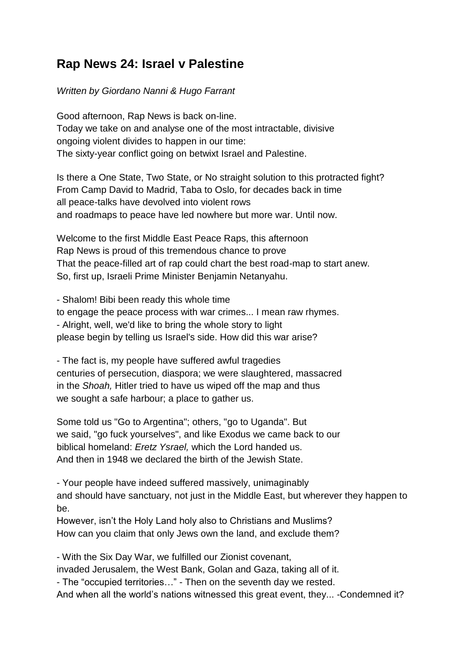## **Rap News 24: Israel v Palestine**

## *Written by Giordano Nanni & Hugo Farrant*

Good afternoon, Rap News is back on-line. Today we take on and analyse one of the most intractable, divisive ongoing violent divides to happen in our time: The sixty-year conflict going on betwixt Israel and Palestine.

Is there a One State, Two State, or No straight solution to this protracted fight? From Camp David to Madrid, Taba to Oslo, for decades back in time all peace-talks have devolved into violent rows and roadmaps to peace have led nowhere but more war. Until now.

Welcome to the first Middle East Peace Raps, this afternoon Rap News is proud of this tremendous chance to prove That the peace-filled art of rap could chart the best road-map to start anew. So, first up, Israeli Prime Minister Benjamin Netanyahu.

- Shalom! Bibi been ready this whole time to engage the peace process with war crimes... I mean raw rhymes. - Alright, well, we'd like to bring the whole story to light please begin by telling us Israel's side. How did this war arise?

- The fact is, my people have suffered awful tragedies centuries of persecution, diaspora; we were slaughtered, massacred in the *Shoah,* Hitler tried to have us wiped off the map and thus we sought a safe harbour; a place to gather us.

Some told us "Go to Argentina"; others, "go to Uganda". But we said, "go fuck yourselves", and like Exodus we came back to our biblical homeland: *Eretz Ysrael,* which the Lord handed us. And then in 1948 we declared the birth of the Jewish State.

- Your people have indeed suffered massively, unimaginably and should have sanctuary, not just in the Middle East, but wherever they happen to be.

However, isn't the Holy Land holy also to Christians and Muslims? How can you claim that only Jews own the land, and exclude them?

- With the Six Day War, we fulfilled our Zionist covenant, invaded Jerusalem, the West Bank, Golan and Gaza, taking all of it. - The "occupied territories…" - Then on the seventh day we rested.

And when all the world"s nations witnessed this great event, they... -Condemned it?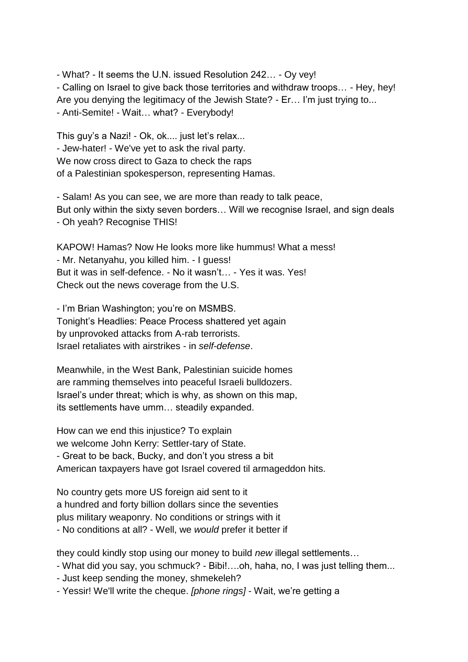- What? - It seems the U.N. issued Resolution 242… - Oy vey! - Calling on Israel to give back those territories and withdraw troops… - Hey, hey! Are you denying the legitimacy of the Jewish State? - Er... I'm just trying to... - Anti-Semite! - Wait… what? - Everybody!

This guy's a Nazi! - Ok, ok.... just let's relax... - Jew-hater! - We've yet to ask the rival party. We now cross direct to Gaza to check the raps of a Palestinian spokesperson, representing Hamas.

- Salam! As you can see, we are more than ready to talk peace, But only within the sixty seven borders… Will we recognise Israel, and sign deals - Oh yeah? Recognise THIS!

KAPOW! Hamas? Now He looks more like hummus! What a mess! - Mr. Netanyahu, you killed him. - I guess! But it was in self-defence. - No it wasn"t… - Yes it was. Yes! Check out the news coverage from the U.S.

- I"m Brian Washington; you"re on MSMBS. Tonight"s Headlies: Peace Process shattered yet again by unprovoked attacks from A-rab terrorists. Israel retaliates with airstrikes - in *self-defense*.

Meanwhile, in the West Bank, Palestinian suicide homes are ramming themselves into peaceful Israeli bulldozers. Israel"s under threat; which is why, as shown on this map, its settlements have umm… steadily expanded.

How can we end this injustice? To explain we welcome John Kerry: Settler-tary of State. - Great to be back, Bucky, and don"t you stress a bit American taxpayers have got Israel covered til armageddon hits.

No country gets more US foreign aid sent to it a hundred and forty billion dollars since the seventies plus military weaponry. No conditions or strings with it - No conditions at all? - Well, we *would* prefer it better if

they could kindly stop using our money to build *new* illegal settlements…

- What did you say, you schmuck? - Bibi!….oh, haha, no, I was just telling them...

- Just keep sending the money, shmekeleh?

- Yessir! We'll write the cheque. *[phone rings]* - Wait, we"re getting a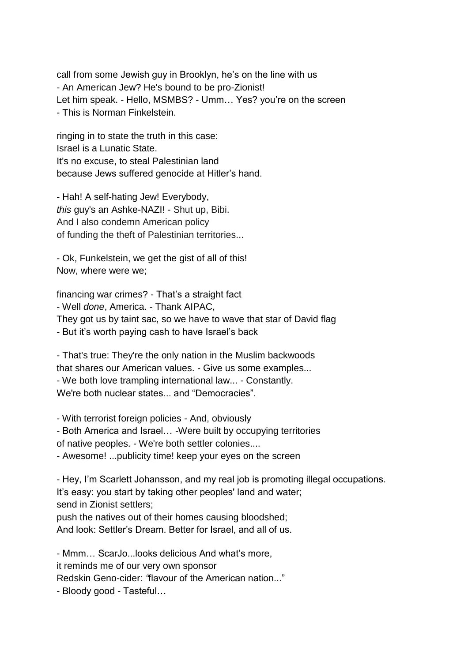call from some Jewish guy in Brooklyn, he's on the line with us - An American Jew? He's bound to be pro-Zionist! Let him speak. - Hello, MSMBS? - Umm... Yes? you're on the screen - This is Norman Finkelstein.

ringing in to state the truth in this case: Israel is a Lunatic State. It's no excuse, to steal Palestinian land because Jews suffered genocide at Hitler"s hand.

- Hah! A self-hating Jew! Everybody, *this* guy's an Ashke-NAZI! - Shut up, Bibi. And I also condemn American policy of funding the theft of Palestinian territories...

- Ok, Funkelstein, we get the gist of all of this! Now, where were we;

financing war crimes? - That's a straight fact - Well *done*, America. - Thank AIPAC, They got us by taint sac, so we have to wave that star of David flag - But it"s worth paying cash to have Israel"s back

- That's true: They're the only nation in the Muslim backwoods that shares our American values. - Give us some examples... - We both love trampling international law... - Constantly. We're both nuclear states... and "Democracies".

- With terrorist foreign policies - And, obviously

- Both America and Israel… -Were built by occupying territories

of native peoples. - We're both settler colonies....

- Awesome! ...publicity time! keep your eyes on the screen

- Hey, I"m Scarlett Johansson, and my real job is promoting illegal occupations. It's easy: you start by taking other peoples' land and water; send in Zionist settlers;

push the natives out of their homes causing bloodshed; And look: Settler"s Dream. Better for Israel, and all of us.

- Mmm… ScarJo...looks delicious And what"s more, it reminds me of our very own sponsor Redskin Geno-cider: *"*flavour of the American nation..." - Bloody good - Tasteful…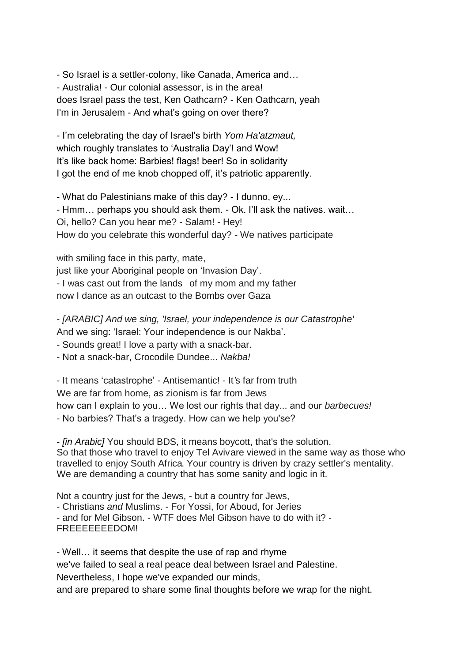- So Israel is a settler-colony, like Canada, America and… - Australia! - Our colonial assessor, is in the area! does Israel pass the test, Ken Oathcarn? - Ken Oathcarn, yeah I'm in Jerusalem - And what's going on over there?

- I"m celebrating the day of Israel"s birth *Yom Ha'atzmaut,* which roughly translates to 'Australia Day'! and Wow! It"s like back home: Barbies! flags! beer! So in solidarity I got the end of me knob chopped off, it's patriotic apparently.

- What do Palestinians make of this day? - I dunno, ey... - Hmm… perhaps you should ask them. - Ok. I"ll ask the natives. wait… Oi, hello? Can you hear me? - Salam! - Hey! How do you celebrate this wonderful day? - We natives participate

with smiling face in this party, mate,

just like your Aboriginal people on 'Invasion Day'.

- I was cast out from the lands of my mom and my father

now I dance as an outcast to the Bombs over Gaza

- *[ARABIC] And we sing, 'Israel, your independence is our Catastrophe'* And we sing: "Israel: Your independence is our Nakba".

- Sounds great! I love a party with a snack-bar.

- Not a snack-bar, Crocodile Dundee... *Nakba!*

- It means "catastrophe" - Antisemantic! - It*'*s far from truth We are far from home, as zionism is far from Jews how can I explain to you… We lost our rights that day... and our *barbecues!* - No barbies? That's a tragedy. How can we help you'se?

- *[in Arabic]* You should BDS, it means boycott, that's the solution. So that those who travel to enjoy Tel Avivare viewed in the same way as those who travelled to enjoy South Africa. Your country is driven by crazy settler's mentality. We are demanding a country that has some sanity and logic in it.

Not a country just for the Jews, - but a country for Jews, - Christians *and* Muslims. - For Yossi, for Aboud, for Jeries - and for Mel Gibson. - WTF does Mel Gibson have to do with it? - FREEEEEEEDOM!

- Well… it seems that despite the use of rap and rhyme we've failed to seal a real peace deal between Israel and Palestine. Nevertheless, I hope we've expanded our minds, and are prepared to share some final thoughts before we wrap for the night.